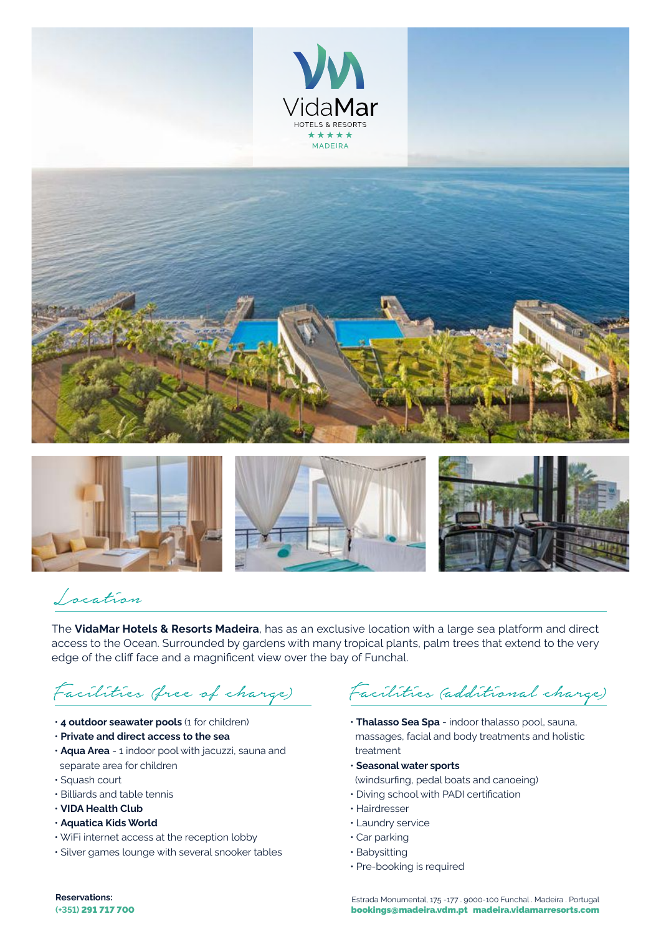









## Location

The **VidaMar Hotels & Resorts Madeira**, has as an exclusive location with a large sea platform and direct access to the Ocean. Surrounded by gardens with many tropical plants, palm trees that extend to the very edge of the cliff face and a magnificent view over the bay of Funchal.

# Facilities (free of charge)

- **4 outdoor seawater pools** (1 for children)
- **Private and direct access to the sea**
- **Aqua Area** 1 indoor pool with jacuzzi, sauna and separate area for children
- Squash court
- Billiards and table tennis
- **VIDA Health Club**
- **Aquatica Kids World**
- WiFi internet access at the reception lobby
- Silver games lounge with several snooker tables

Facilities (additional charge)

- **Thalasso Sea Spa** indoor thalasso pool, sauna, massages, facial and body treatments and holistic treatment
- **Seasonal water sports**
- (windsurfing, pedal boats and canoeing)
- Diving school with PADI certification
- Hairdresser
- Laundry service
- Car parking
- Babysitting
- Pre-booking is required

**Reservations:**

**(+351)** 291 717 700 bookings@madeira.vdm.pt madeira.vidamarresorts.com Estrada Monumental, 175 -177 . 9000-100 Funchal . Madeira . Portugal